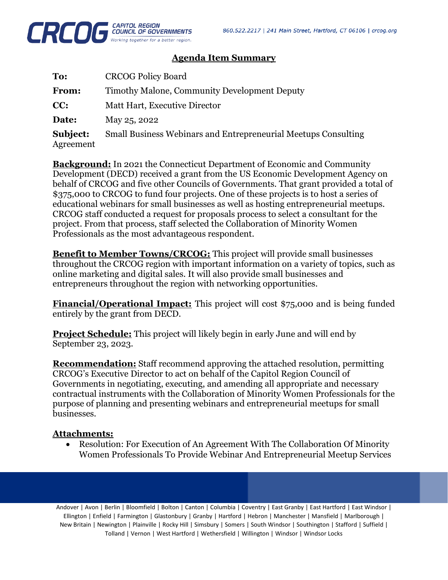

## **Agenda Item Summary**

| To:                   | <b>CRCOG Policy Board</b>                                             |
|-----------------------|-----------------------------------------------------------------------|
| <b>From:</b>          | Timothy Malone, Community Development Deputy                          |
| CC:                   | Matt Hart, Executive Director                                         |
| Date:                 | May 25, 2022                                                          |
| Subject:<br>Agreement | <b>Small Business Webinars and Entrepreneurial Meetups Consulting</b> |

**Background:** In 2021 the Connecticut Department of Economic and Community Development (DECD) received a grant from the US Economic Development Agency on behalf of CRCOG and five other Councils of Governments. That grant provided a total of \$375,000 to CRCOG to fund four projects. One of these projects is to host a series of educational webinars for small businesses as well as hosting entrepreneurial meetups. CRCOG staff conducted a request for proposals process to select a consultant for the project. From that process, staff selected the Collaboration of Minority Women Professionals as the most advantageous respondent.

**Benefit to Member Towns/CRCOG:** This project will provide small businesses throughout the CRCOG region with important information on a variety of topics, such as online marketing and digital sales. It will also provide small businesses and entrepreneurs throughout the region with networking opportunities.

**Financial/Operational Impact:** This project will cost \$75,000 and is being funded entirely by the grant from DECD.

**Project Schedule:** This project will likely begin in early June and will end by September 23, 2023.

**Recommendation:** Staff recommend approving the attached resolution, permitting CRCOG's Executive Director to act on behalf of the Capitol Region Council of Governments in negotiating, executing, and amending all appropriate and necessary contractual instruments with the Collaboration of Minority Women Professionals for the purpose of planning and presenting webinars and entrepreneurial meetups for small businesses.

### **Attachments:**

• Resolution: For Execution of An Agreement With The Collaboration Of Minority Women Professionals To Provide Webinar And Entrepreneurial Meetup Services

Andover | Avon | Berlin | Bloomfield | Bolton | Canton | Columbia | Coventry | East Granby | East Hartford | East Windsor | Ellington | Enfield | Farmington | Glastonbury | Granby | Hartford | Hebron | Manchester | Mansfield | Marlborough | New Britain | Newington | Plainville | Rocky Hill | Simsbury | Somers | South Windsor | Southington | Stafford | Suffield | Tolland | Vernon | West Hartford | Wethersfield | Willington | Windsor | Windsor Locks